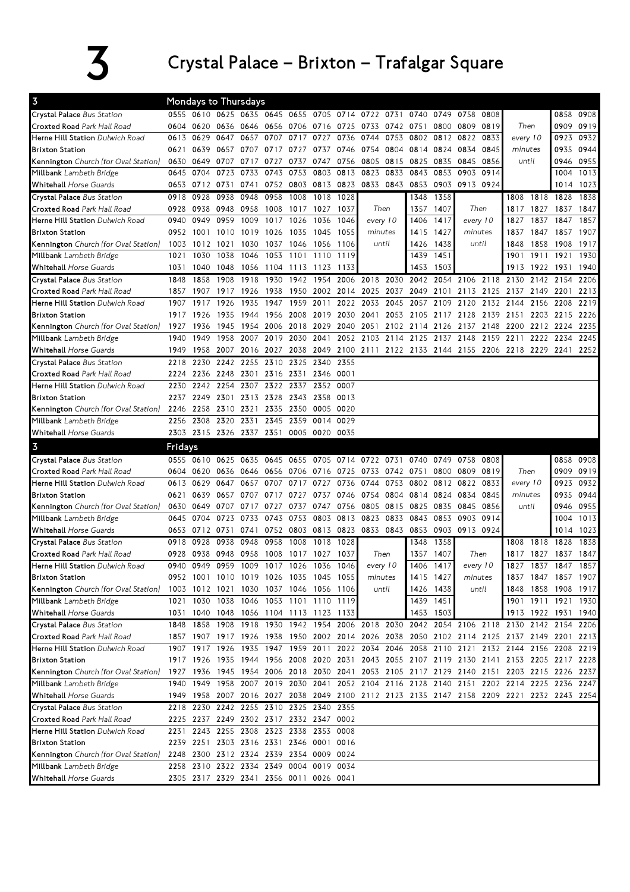## $\overline{\mathbf{3}}$  Crystal Palace – Brixton – Trafalgar Square

| $\overline{3}$                                           |         |                | <b>Mondays to Thursdays</b>                                                        |                |      |                     |                                         |           |                                                                       |      |                     |               |              |          |                                                                                           |           |                     |      |
|----------------------------------------------------------|---------|----------------|------------------------------------------------------------------------------------|----------------|------|---------------------|-----------------------------------------|-----------|-----------------------------------------------------------------------|------|---------------------|---------------|--------------|----------|-------------------------------------------------------------------------------------------|-----------|---------------------|------|
| Crystal Palace Bus Station                               |         |                |                                                                                    |                |      |                     |                                         |           | 0555 0610 0625 0635 0645 0655 0705 0714 0722 0731 0740 0749 0758 0808 |      |                     |               |              |          |                                                                                           |           | 0858                | 0908 |
| Croxted Road Park Hall Road                              |         |                |                                                                                    |                |      |                     |                                         |           | 0604 0620 0636 0646 0656 0706 0716 0725 0733 0742 0751                |      |                     | 0800          | 0809         | 0819     | Then                                                                                      |           | 0909 0919           |      |
| Herne Hill Station Dulwich Road                          | 0613    | 0629           | 0647                                                                               | 0657           | 0707 | 0717                | 0727                                    | 0736      | 0744                                                                  | 0753 | 0802                |               | 0812 0822    | 0833     | every 10                                                                                  |           | 0923                | 0932 |
| <b>Brixton Station</b>                                   | 0621    |                | 0639 0657 0707                                                                     |                | 0717 | 0727                | 0737                                    |           | 0746 0754                                                             | 0804 | 0814                | 0824          | 0834         | 0845     | minutes                                                                                   |           | 0935                | 0944 |
| Kennington Church (for Oval Station)                     | 0630    | 0649 0707      |                                                                                    | 0717           | 0727 | 0737                | 0747                                    | 0756      | 0805                                                                  | 0815 | 0825                | 0835          | 0845<br>0856 |          | until                                                                                     |           | 0946                | 0955 |
| Millbank Lambeth Bridge                                  | 0645    | 0704           | 0723                                                                               | 0733           |      | 0743 0753           | 0803                                    | 0813 0823 |                                                                       | 0833 | 0843                | 0853          | 0903<br>0914 |          |                                                                                           |           | 1004                | 1013 |
| <b>Whitehall Horse Guards</b>                            |         | 0653 0712 0731 |                                                                                    | 0741           |      |                     |                                         |           | 0752 0803 0813 0823 0833 0843                                         |      |                     | 0853 0903     | 0913 0924    |          |                                                                                           |           | 1014 1023           |      |
| Crystal Palace Bus Station                               | 0918    | 0928           | 0938                                                                               | 0948           | 0958 | 1008                | 1018                                    | 1028      |                                                                       |      | 1348                | 1358          |              |          | 1808                                                                                      | 1818      | 1828                | 1838 |
| Croxted Road Park Hall Road                              | 0928    | 0938           | 0948                                                                               | 0958           | 1008 | 1017 1027           |                                         | 1037      | Then                                                                  |      | 1357                | 1407          | Then         |          | 1817                                                                                      | 1827      | 1837                | 1847 |
| Herne Hill Station Dulwich Road                          | 0940    | 0949           | 0959                                                                               | 1009           | 1017 | 1026                | 1036                                    | 1046      | every 10                                                              |      | 1406                | 1417          | every 10     |          | 1827                                                                                      | 1837      | 1847                | 1857 |
| <b>Brixton Station</b>                                   |         | 0952 1001      | 1010                                                                               | 1019           | 1026 | 1035                | 1045                                    | 1055      | minutes                                                               |      | 1415                | 1427          | minutes      |          | 1837                                                                                      | 1847      | 1857                | 1907 |
| Kennington Church (for Oval Station)                     | 1003    | 1012 1021      |                                                                                    | 1030           |      | 1037 1046           | 1056                                    | 1106      | until                                                                 |      | 1426                | 1438<br>until |              |          | 1848                                                                                      | 1858      | 1908                | 1917 |
| Millbank Lambeth Bridge                                  | 1021    | 1030           | 1038                                                                               | 1046           | 1053 | 1101                | 1110                                    | 1119      |                                                                       |      | 1439<br>1451        |               |              |          | 1901                                                                                      | 1911      | 1921                | 1930 |
| <b>Whitehall Horse Guards</b>                            | 1031    | 1040           | 1048                                                                               |                |      | 1056 1104 1113 1123 |                                         | 1133      |                                                                       |      | 1453                | 1503          |              |          | 1913                                                                                      | 1922 1931 |                     | 1940 |
| Crystal Palace Bus Station                               | 1848    | 1858           | 1908                                                                               | 1918           | 1930 |                     |                                         |           | 1942 1954 2006 2018 2030                                              |      |                     |               |              |          | 2042 2054 2106 2118 2130 2142 2154                                                        |           |                     | 2206 |
| Croxted Road Park Hall Road                              |         | 1857 1907      | 1917 1926                                                                          |                | 1938 |                     |                                         |           |                                                                       |      |                     |               |              |          | 1950 2002 2014 2025 2037 2049 2101 2113 2125 2137 2149 2201                               |           |                     | 2213 |
| Herne Hill Station Dulwich Road                          | 1907    | 1917           | 1926                                                                               | 1935           | 1947 |                     | 1959 2011                               |           | 2022 2033 2045                                                        |      | 2057                | 2109          | 2120         |          | 2132 2144                                                                                 | 2156 2208 |                     | 2219 |
| <b>Brixton Station</b>                                   |         | 1917 1926      | 1935                                                                               | 1944 1956 2008 |      |                     | 2019                                    |           | 2030 2041                                                             |      | 2053 2105 2117 2128 |               |              | 2139     | 2151 2203 2215                                                                            |           |                     | 2226 |
| Kennington Church (for Oval Station)                     | 1927    | 1936           | 1945                                                                               |                |      | 1954 2006 2018      | 2029                                    |           |                                                                       |      |                     |               |              |          | 2040 2051 2102 2114 2126 2137 2148 2200 2212 2224                                         |           |                     | 2235 |
| Millbank Lambeth Bridge                                  | 1940    | 1949           | 1958                                                                               | 2007           |      | 2019 2030           | 2041                                    |           | 2052 2103 2114 2125 2137 2148 2159                                    |      |                     |               |              |          | 2211                                                                                      | 2222      | 2234                | 2245 |
| <b>Whitehall Horse Guards</b>                            | 1949    | 1958           | 2007                                                                               |                |      |                     |                                         |           |                                                                       |      |                     |               |              |          | 2016 2027 2038 2049 2100 2111 2122 2133 2144 2155 2206 2218 2229 2241 2252                |           |                     |      |
| Crystal Palace Bus Station                               | 2218    |                | 2230 2242 2255 2310 2325 2340                                                      |                |      |                     |                                         | 2355      |                                                                       |      |                     |               |              |          |                                                                                           |           |                     |      |
| Croxted Road Park Hall Road                              | 2224    |                | 2236 2248 2301                                                                     |                |      | 2316 2331 2346      |                                         | 0001      |                                                                       |      |                     |               |              |          |                                                                                           |           |                     |      |
| <b>Herne Hill Station</b> Dulwich Road                   | 2230    |                | 2242 2254 2307 2322 2337                                                           |                |      |                     | 2352 0007                               |           |                                                                       |      |                     |               |              |          |                                                                                           |           |                     |      |
| <b>Brixton Station</b>                                   | 2237    |                | 2249 2301 2313                                                                     |                |      | 2328 2343           | 2358                                    | 0013      |                                                                       |      |                     |               |              |          |                                                                                           |           |                     |      |
| Kennington Church (for Oval Station)                     |         | 2246 2258      | 2310                                                                               | 2321           |      | 2335 2350           | 0005                                    | 0020      |                                                                       |      |                     |               |              |          |                                                                                           |           |                     |      |
| Millbank Lambeth Bridge                                  | 2256    | 2308           | 2320                                                                               | 2331           | 2345 | 2359                | 0014                                    | 0029      |                                                                       |      |                     |               |              |          |                                                                                           |           |                     |      |
| <b>Whitehall Horse Guards</b>                            |         |                |                                                                                    |                |      |                     | 2303 2315 2326 2337 2351 0005 0020 0035 |           |                                                                       |      |                     |               |              |          |                                                                                           |           |                     |      |
|                                                          |         |                |                                                                                    |                |      |                     |                                         |           |                                                                       |      |                     |               |              |          |                                                                                           |           |                     |      |
| $\overline{3}$                                           | Fridays |                |                                                                                    |                |      |                     |                                         |           |                                                                       |      |                     |               |              |          |                                                                                           |           |                     |      |
| Crystal Palace Bus Station                               |         | 0555 0610      | 0625                                                                               | 0635           |      |                     |                                         |           | 0645 0655 0705 0714 0722 0731                                         |      | 0740                | 0749          | 0758         | 0808     |                                                                                           |           | 0858                | 0908 |
| Croxted Road Park Hall Road                              |         |                |                                                                                    |                |      |                     |                                         |           | 0604 0620 0636 0646 0656 0706 0716 0725 0733 0742 0751                |      |                     | 0800          | 0809 0819    |          | Then                                                                                      |           | 0909 0919           |      |
| Herne Hill Station Dulwich Road                          | 0613    | 0629           | 0647                                                                               | 0657           | 0707 | 0717                | 0727                                    | 0736 0744 |                                                                       | 0753 |                     | 0802 0812     | 0822 0833    |          | every 10                                                                                  |           | 0923 0932           |      |
| <b>Brixton Station</b>                                   | 0621    |                | 0639 0657 0707                                                                     |                |      | 0717 0727           | 0737 0746 0754                          |           |                                                                       | 0804 | 0814 0824           |               | 0834         | 0845     | minutes                                                                                   |           | 0935                | 0944 |
| Kennington Church (for Oval Station)                     |         | 0630 0649 0707 |                                                                                    | 0717 0727      |      | 0737                |                                         |           | 0747 0756 0805                                                        |      | 0815 0825 0835      |               | 0845         | 0856     | until                                                                                     |           | 0946 0955           |      |
| Millbank Lambeth Bridge                                  | 0645    | 0704           | 0723                                                                               | 0733           | 0743 | 0753                | 0803                                    | 0813 0823 |                                                                       | 0833 | 0843                | 0853          | 0903         | 0914     |                                                                                           |           | 1004                | 1013 |
| <b>Whitehall Horse Guards</b>                            |         | 0653 0712 0731 |                                                                                    | 0741           |      |                     |                                         |           | 0752 0803 0813 0823 0833 0843                                         |      | 0853                | 0903          | 0913 0924    |          |                                                                                           |           | 1014                | 1023 |
| Crystal Palace Bus Station                               | 0918    | 0928           | 0938                                                                               | 0948           | 0958 | 1008                | 1018                                    | 1028      |                                                                       |      | 1348                | 1358          |              |          | 1808                                                                                      | 1818      | 1828                | 1838 |
| Croxted Road Park Hall Road                              |         | 0928 0938 0948 |                                                                                    |                |      | 0958 1008 1017 1027 |                                         | 1037      | Then                                                                  |      |                     | 1357 1407     |              | Then     | 1817                                                                                      |           | 1827 1837 1847      |      |
| Herne Hill Station Dulwich Road                          | 0940    |                | 0949 0959 1009                                                                     |                |      |                     | 1017 1026 1036 1046                     |           | every 10                                                              |      | 1406                | 1417          |              | every 10 | 1827                                                                                      | 1837      | 1847                | 1857 |
| <b>Brixton Station</b>                                   |         |                | 0952 1001 1010 1019 1026 1035 1045 1055                                            |                |      |                     |                                         |           | minutes                                                               |      |                     | 1415 1427     | minutes      |          |                                                                                           |           | 1837 1847 1857 1907 |      |
| Kennington Church (for Oval Station)                     |         | 1003 1012 1021 |                                                                                    |                |      |                     | 1030 1037 1046 1056 1106                |           | until                                                                 |      |                     | 1426 1438     |              | until    | 1848                                                                                      |           | 1858 1908 1917      |      |
| Millbank Lambeth Bridge                                  |         |                | 1021 1030 1038 1046 1053 1101 1110 1119                                            |                |      |                     |                                         |           |                                                                       |      |                     | 1439 1451     |              |          |                                                                                           |           | 1901 1911 1921 1930 |      |
| <b>Whitehall Horse Guards</b>                            |         |                | 1031 1040 1048 1056 1104 1113 1123 1133                                            |                |      |                     |                                         |           |                                                                       |      |                     | 1453 1503     |              |          |                                                                                           |           | 1913 1922 1931 1940 |      |
| Crystal Palace Bus Station                               |         | 1848 1858      | 1908 1918 1930 1942 1954 2006 2018                                                 |                |      |                     |                                         |           |                                                                       |      |                     |               |              |          | 2030 2042 2054 2106 2118 2130                                                             |           | 2142 2154 2206      |      |
| Croxted Road Park Hall Road                              |         |                |                                                                                    |                |      |                     |                                         |           |                                                                       |      |                     |               |              |          | 1857 1907 1917 1926 1938 1950 2002 2014 2026 2038 2050 2102 2114 2125 2137 2149 2201 2213 |           |                     |      |
| Herne Hill Station Dulwich Road                          |         | 1907 1917 1926 |                                                                                    |                |      |                     |                                         |           |                                                                       |      |                     |               |              |          | 1935 1947 1959 2011 2022 2034 2046 2058 2110 2121 2132 2144 2156 2208 2219                |           |                     |      |
| <b>Brixton Station</b>                                   |         |                |                                                                                    |                |      |                     |                                         |           |                                                                       |      |                     |               |              |          | 1917 1926 1935 1944 1956 2008 2020 2031 2043 2055 2107 2119 2130 2141 2153 2205 2217 2228 |           |                     |      |
| Kennington Church (for Oval Station)                     |         |                |                                                                                    |                |      |                     |                                         |           |                                                                       |      |                     |               |              |          | 1927 1936 1945 1954 2006 2018 2030 2041 2053 2105 2117 2129 2140 2151 2203 2215 2226 2237 |           |                     |      |
| Millbank Lambeth Bridge                                  |         | 1940 1949      |                                                                                    |                |      |                     |                                         |           |                                                                       |      |                     |               |              |          | 1958 2007 2019 2030 2041 2052 2104 2116 2128 2140 2151 2202 2214 2225 2236 2247           |           |                     |      |
| <b>Whitehall Horse Guards</b>                            |         |                |                                                                                    |                |      |                     |                                         |           |                                                                       |      |                     |               |              |          | 1949 1958 2007 2016 2027 2038 2049 2100 2112 2123 2135 2147 2158 2209 2221 2232 2243 2254 |           |                     |      |
| Crystal Palace Bus Station                               |         |                | 2218 2230 2242 2255 2310 2325 2340                                                 |                |      |                     |                                         | 2355      |                                                                       |      |                     |               |              |          |                                                                                           |           |                     |      |
| Croxted Road Park Hall Road                              |         | 2225 2237      |                                                                                    |                |      |                     | 2249 2302 2317 2332 2347                | 0002      |                                                                       |      |                     |               |              |          |                                                                                           |           |                     |      |
| Herne Hill Station Dulwich Road                          |         |                | 2231 2243 2255 2308 2323 2338 2353 0008                                            |                |      |                     |                                         |           |                                                                       |      |                     |               |              |          |                                                                                           |           |                     |      |
| <b>Brixton Station</b>                                   |         |                | 2239 2251 2303 2316 2331 2346 0001 0016                                            |                |      |                     |                                         |           |                                                                       |      |                     |               |              |          |                                                                                           |           |                     |      |
| Kennington Church (for Oval Station)                     |         |                | 2248 2300 2312 2324 2339 2354 0009 0024                                            |                |      |                     |                                         |           |                                                                       |      |                     |               |              |          |                                                                                           |           |                     |      |
| Millbank Lambeth Bridge<br><b>Whitehall Horse Guards</b> |         |                | 2258 2310 2322 2334 2349 0004 0019 0034<br>2305 2317 2329 2341 2356 0011 0026 0041 |                |      |                     |                                         |           |                                                                       |      |                     |               |              |          |                                                                                           |           |                     |      |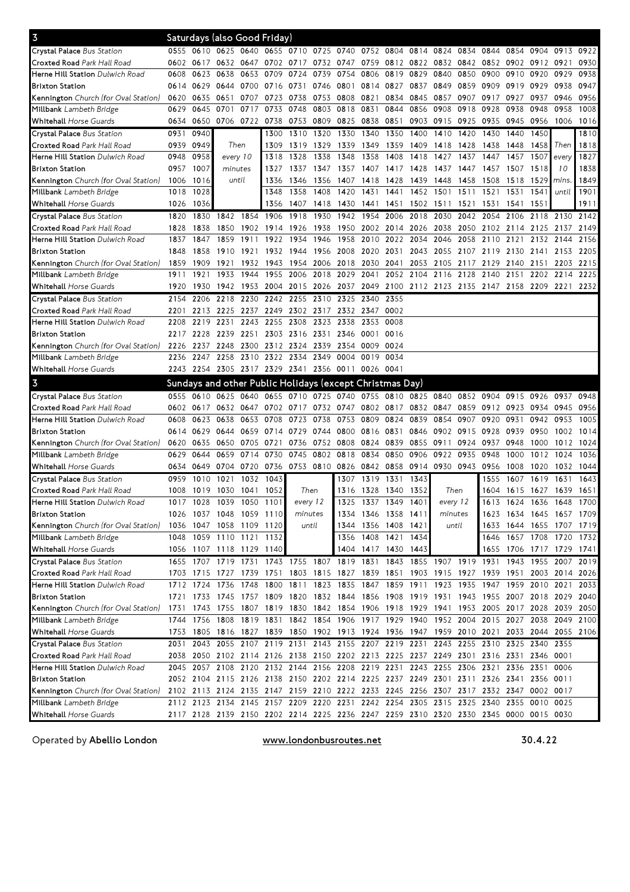| $\overline{3}$                                                  |      |           | Saturdays (also Good Friday)                                                                                                                                                 |           |                |                |                                                                       |                |                |                          |                     |                |                                    |                     |                |                |                                                        |      |
|-----------------------------------------------------------------|------|-----------|------------------------------------------------------------------------------------------------------------------------------------------------------------------------------|-----------|----------------|----------------|-----------------------------------------------------------------------|----------------|----------------|--------------------------|---------------------|----------------|------------------------------------|---------------------|----------------|----------------|--------------------------------------------------------|------|
| Crystal Palace Bus Station                                      | 0555 |           | 0610 0625 0640                                                                                                                                                               |           |                |                | 0655 0710 0725 0740                                                   |                | 0752 0804      |                          | 0814                | 0824           | 0834                               | 0844                |                | 0854 0904      | 0913                                                   | 0922 |
| Croxted Road Park Hall Road                                     |      | 0602 0617 | 0632 0647                                                                                                                                                                    |           |                |                | 0702 0717 0732 0747 0759 0812 0822 0832 0842 0852 0902 0912 0921      |                |                |                          |                     |                |                                    |                     |                |                |                                                        | 0930 |
| Herne Hill Station Dulwich Road                                 | 0608 | 0623      | 0638                                                                                                                                                                         | 0653      | 0709           | 0724           | 0739                                                                  | 0754           |                | 0806 0819 0829           |                     | 0840 0850      |                                    | 0900 0910 0920      |                |                | 0929                                                   | 0938 |
| <b>Brixton Station</b>                                          | 0614 | 0629      | 0644 0700                                                                                                                                                                    |           |                | 0716 0731      | 0746                                                                  |                | 0801 0814 0827 |                          | 0837                | 0849 0859      |                                    | 0909                | 0919 0929      |                | 0938                                                   | 0947 |
| Kennington Church (for Oval Station)                            | 0620 | 0635      | 0651                                                                                                                                                                         | 0707      | 0723           | 0738           | 0753                                                                  | 0808           | 0821           | 0834                     | 0845                | 0857           | 0907                               | 0917                | 0927           | 0937           | 0946                                                   | 0956 |
| Millbank Lambeth Bridge                                         | 0629 | 0645      | 0701                                                                                                                                                                         | 0717      | 0733           | 0748 0803      |                                                                       | 0818 0831      |                | 0844                     | 0856                | 0908           | 0918                               | 0928                | 0938           | 0948           | 0958                                                   | 1008 |
| <b>Whitehall Horse Guards</b>                                   | 0634 | 0650      | 0706 0722                                                                                                                                                                    |           | 0738           | 0753 0809      |                                                                       | 0825 0838      |                | 0851                     |                     | 0903 0915 0925 |                                    | 0935                | 0945 0956      |                | 1006                                                   | 1016 |
| <b>Crystal Palace Bus Station</b>                               | 0931 | 0940      |                                                                                                                                                                              |           | 1300           | 1310           | 1320                                                                  | 1330           | 1340           | 1350                     | 1400                | 1410           | 1420                               | 1430                | 1440           | 1450           |                                                        | 1810 |
| Croxted Road Park Hall Road                                     | 0939 | 0949      | Then                                                                                                                                                                         |           | 1309           | 1319           | 1329                                                                  | 1339           | 1349           | 1359                     | 1409                | 1418           | 1428                               | 1438                | 1448           | 1458           | Then                                                   | 1818 |
| Herne Hill Station Dulwich Road                                 | 0948 | 0958      | every 10                                                                                                                                                                     |           | 1318           | 1328           | 1338                                                                  | 1348           | 1358           | 1408                     | 1418                | 1427           | 1437                               | 1447                | 1457           | 1507           | every                                                  | 1827 |
| <b>Brixton Station</b>                                          | 0957 | 1007      | minutes                                                                                                                                                                      |           | 1327           |                | 1337 1347                                                             |                |                | 1357 1407 1417 1428      |                     | 1437           | 1447                               | 1457                | 1507           | 1518           | 10                                                     | 1838 |
| Kennington Church (for Oval Station)                            | 1006 | 1016      | until                                                                                                                                                                        |           | 1336           | 1346           | 1356                                                                  | 1407           | 1418           | 1428                     | 1439                | 1448           | 1458                               | 1508                | 1518           | $1529$ mins    |                                                        | 1849 |
| Millbank Lambeth Bridge                                         | 1018 | 1028      |                                                                                                                                                                              |           | 1348           | 1358           | 1408                                                                  | 1420           | 1431           | 1441                     | 1452 1501           |                | 1511                               | 1521                | 1531           | 1541           | until                                                  | 1901 |
| <b>Whitehall Horse Guards</b>                                   | 1026 | 1036      |                                                                                                                                                                              |           | 1356           | 1407 1418      |                                                                       | 1430 1441      |                |                          | 1451 1502 1511 1521 |                |                                    | 1531                | 1541 1551      |                |                                                        | 1911 |
| Crystal Palace Bus Station                                      | 1820 | 1830      | 1842                                                                                                                                                                         | 1854      | 1906           | 1918           | 1930                                                                  |                | 1942 1954      | 2006                     | 2018                | 2030           | 2042                               | 2054                | 2106 2118      |                | 2130                                                   | 2142 |
| <b>Croxted Road Park Hall Road</b>                              | 1828 | 1838      | 1850                                                                                                                                                                         | 1902      | 1914           | 1926           | 1938                                                                  | 1950           | 2002 2014      |                          |                     | 2026 2038 2050 |                                    | 2102                | 2114 2125      |                | 2137                                                   | 2149 |
| Herne Hill Station Dulwich Road                                 | 1837 | 1847      | 1859                                                                                                                                                                         | 1911      |                | 1922 1934 1946 |                                                                       | 1958           |                | 2010 2022 2034           |                     | 2046 2058      |                                    | 2110                | 2121           | 2132           | 2144                                                   | 2156 |
| <b>Brixton Station</b>                                          | 1848 | 1858      | 1910 1921                                                                                                                                                                    |           |                | 1932 1944 1956 |                                                                       |                |                |                          |                     |                | 2008 2020 2031 2043 2055 2107 2119 |                     | 2130 2141      |                | 2153                                                   | 2205 |
| Kennington Church (for Oval Station)                            | 1859 | 1909      | 1921                                                                                                                                                                         | 1932      |                | 1943 1954 2006 |                                                                       | 2018           | 2030 2041      |                          | 2053                |                | 2105 2117 2129                     |                     | 2140 2151      |                | 2203                                                   | 2215 |
| Millbank Lambeth Bridge                                         | 1911 | 1921      | 1933                                                                                                                                                                         | 1944      |                | 1955 2006 2018 |                                                                       | 2029           | 2041           |                          | 2052 2104           | 2116 2128      |                                    | 2140                | 2151           | 2202           | 2214                                                   | 2225 |
| <b>Whitehall Horse Guards</b>                                   | 1920 | 1930      | 1942 1953                                                                                                                                                                    |           | 2004 2015 2026 |                |                                                                       |                |                |                          |                     |                |                                    |                     |                |                | 2037 2049 2100 2112 2123 2135 2147 2158 2209 2221 2232 |      |
| Crystal Palace Bus Station                                      | 2154 | 2206      | 2218 2230                                                                                                                                                                    |           |                | 2242 2255 2310 |                                                                       | 2325           | 2340           | 2355                     |                     |                |                                    |                     |                |                |                                                        |      |
| Croxted Road Park Hall Road                                     | 2201 | 2213      | 2225 2237                                                                                                                                                                    |           |                | 2249 2302 2317 |                                                                       |                | 2332 2347      | 0002                     |                     |                |                                    |                     |                |                |                                                        |      |
| Herne Hill Station Dulwich Road                                 | 2208 | 2219      | 2231 2243                                                                                                                                                                    |           | 2255 2308 2323 |                |                                                                       | 2338           | 2353 0008      |                          |                     |                |                                    |                     |                |                |                                                        |      |
| <b>Brixton Station</b>                                          | 2217 | 2228      | 2239 2251 2303 2316 2331                                                                                                                                                     |           |                |                |                                                                       |                | 2346 0001      | 0016                     |                     |                |                                    |                     |                |                |                                                        |      |
| Kennington Church (for Oval Station)                            | 2226 | 2237      | 2248 2300                                                                                                                                                                    |           | 2312 2324      |                | 2339                                                                  | 2354           | 0009           | 0024                     |                     |                |                                    |                     |                |                |                                                        |      |
| Millbank Lambeth Bridge                                         | 2236 | 2247      | 2258 2310                                                                                                                                                                    |           | 2322 2334 2349 |                |                                                                       | 0004           | 0019           | 0034                     |                     |                |                                    |                     |                |                |                                                        |      |
| <b>Whitehall Horse Guards</b>                                   |      |           | 2243 2254 2305 2317 2329 2341 2356 0011 0026 0041                                                                                                                            |           |                |                |                                                                       |                |                |                          |                     |                |                                    |                     |                |                |                                                        |      |
|                                                                 |      |           |                                                                                                                                                                              |           |                |                |                                                                       |                |                |                          |                     |                |                                    |                     |                |                |                                                        |      |
| $\overline{3}$                                                  |      |           | Sundays and other Public Holidays (except Christmas Day)                                                                                                                     |           |                |                |                                                                       |                |                |                          |                     |                |                                    |                     |                |                |                                                        |      |
| Crystal Palace Bus Station                                      |      | 0555 0610 |                                                                                                                                                                              |           |                |                | 0625 0640 0655 0710 0725 0740 0755 0810 0825 0840 0852 0904           |                |                |                          |                     |                |                                    |                     | 0915 0926      |                | 0937                                                   | 0948 |
| Croxted Road Park Hall Road                                     |      | 0602 0617 |                                                                                                                                                                              |           |                |                | 0632 0647 0702 0717 0732 0747 0802 0817 0832 0847                     |                |                |                          |                     |                |                                    | 0859 0912 0923 0934 |                |                | 0945                                                   | 0956 |
| Herne Hill Station Dulwich Road                                 | 0608 | 0623      | 0638                                                                                                                                                                         | 0653      | 0708           | 0723           | 0738                                                                  |                | 0753 0809 0824 |                          | 0839                | 0854           | 0907                               | 0920                | 0931           | 0942           | 0953                                                   | 1005 |
| <b>Brixton Station</b>                                          | 0614 | 0629      | 0644 0659                                                                                                                                                                    |           | 0714           |                | 0729 0744                                                             | 0800           | 0816 0831      |                          | 0846                | 0902 0915      |                                    | 0928                | 0939 0950      |                | 1002                                                   | 1014 |
| Kennington Church (for Oval Station)                            | 0620 | 0635      | 0650 0705                                                                                                                                                                    |           | 0721           |                | 0736 0752 0808 0824 0839                                              |                |                |                          |                     | 0855 0911      | 0924                               | 0937                | 0948           | 1000           | 1012                                                   | 1024 |
| Millbank Lambeth Bridge                                         | 0629 | 0644      | 0659 0714                                                                                                                                                                    |           | 0730           | 0745           | 0802                                                                  | 0818           | 0834           | 0850                     | 0906                | 0922           | 0935                               | 0948                | 1000           | 1012           | 1024                                                   | 1036 |
| Whitehall Horse Guards                                          | 0634 | 0649      | 0704 0720                                                                                                                                                                    |           |                | 0736 0753 0810 |                                                                       | 0826 0842 0858 |                |                          | 0914                | 0930 0943      |                                    | 0956                | 1008           | 1020           | 1032                                                   | 1044 |
| Crystal Palace Bus Station                                      | 0959 | 1010      | 1021                                                                                                                                                                         | 1032      | 1043           |                |                                                                       | 1307           | 1319           | 1331                     | 1343                |                |                                    | 1555                | 1607           | 1619           | 1631                                                   | 1643 |
| Croxted Road Park Hall Road                                     | 1008 | 1019      | 1030 1041                                                                                                                                                                    |           | 1052           | Then           |                                                                       |                | 1316 1328 1340 |                          | 1352                | Then           |                                    | 1604                |                | 1615 1627 1639 |                                                        | 1651 |
| Herne Hill Station Dulwich Road                                 | 1017 | 1028      | 1039 1050                                                                                                                                                                    |           | 1101           | every 12       |                                                                       | 1325           | 1337 1349      |                          | 1401                | every 12       |                                    | 1613                | 1624 1636      |                | 1648 1700                                              |      |
| <b>Brixton Station</b>                                          |      |           | 1026 1037 1048 1059 1110                                                                                                                                                     |           |                | minutes        |                                                                       |                |                | 1334 1346 1358 1411      |                     | minutes        |                                    |                     |                |                | 1623 1634 1645 1657 1709                               |      |
| Kennington Church (for Oval Station)                            | 1036 |           | 1047 1058 1109 1120                                                                                                                                                          |           |                | until          |                                                                       |                |                | 1344 1356 1408 1421      |                     | until          |                                    |                     | 1633 1644 1655 |                | 1707 1719                                              |      |
| Millbank Lambeth Bridge                                         | 1048 |           | 1059 1110 1121 1132                                                                                                                                                          |           |                |                |                                                                       |                |                | 1356 1408 1421 1434      |                     |                |                                    | 1646                | 1657 1708      |                | 1720 1732                                              |      |
| Whitehall Horse Guards                                          |      |           | 1056 1107 1118 1129 1140                                                                                                                                                     |           |                |                |                                                                       |                |                | 1404 1417 1430 1443      |                     |                |                                    |                     |                |                | 1655 1706 1717 1729 1741                               |      |
| Crystal Palace Bus Station                                      | 1655 | 1707      | 1719 1731                                                                                                                                                                    |           |                |                | 1743 1755 1807 1819 1831                                              |                |                | 1843                     |                     |                | 1855 1907 1919 1931                |                     |                | 1943 1955      | 2007                                                   | 2019 |
| Croxted Road Park Hall Road                                     |      |           | 1703 1715 1727 1739                                                                                                                                                          |           |                |                | 1751 1803 1815 1827 1839 1851 1903 1915 1927 1939 1951 2003 2014 2026 |                |                |                          |                     |                |                                    |                     |                |                |                                                        |      |
| Herne Hill Station Dulwich Road                                 |      | 1712 1724 | 1736 1748                                                                                                                                                                    |           |                |                | 1800 1811 1823 1835 1847 1859 1911 1923 1935 1947 1959 2010 2021 2033 |                |                |                          |                     |                |                                    |                     |                |                |                                                        |      |
| <b>Brixton Station</b>                                          |      |           | 1721 1733 1745 1757 1809 1820 1832 1844 1856 1908 1919 1931 1943 1955 2007 2018 2029 2040                                                                                    |           |                |                |                                                                       |                |                |                          |                     |                |                                    |                     |                |                |                                                        |      |
| Kennington Church (for Oval Station)                            | 1731 |           | 1743 1755 1807                                                                                                                                                               |           |                |                | 1819 1830 1842 1854 1906 1918 1929 1941 1953 2005 2017 2028 2039 2050 |                |                |                          |                     |                |                                    |                     |                |                |                                                        |      |
| Millbank Lambeth Bridge                                         | 1744 |           | 1756 1808 1819                                                                                                                                                               |           |                |                | 1831 1842 1854 1906 1917 1929 1940 1952 2004 2015 2027 2038           |                |                |                          |                     |                |                                    |                     |                |                | 2049                                                   | 2100 |
| <b>Whitehall Horse Guards</b>                                   | 1753 |           | 1805 1816 1827 1839 1850 1902 1913 1924 1936 1947 1959 2010 2021                                                                                                             |           |                |                |                                                                       |                |                |                          |                     |                |                                    |                     |                |                | 2033 2044 2055 2106                                    |      |
| Crystal Palace Bus Station                                      | 2031 | 2043      |                                                                                                                                                                              | 2055 2107 |                | 2119 2131      |                                                                       |                |                | 2143 2155 2207 2219 2231 |                     |                | 2243 2255 2310                     |                     | 2325 2340      |                | 2355                                                   |      |
| Croxted Road Park Hall Road                                     | 2038 |           | 2050 2102 2114 2126 2138 2150 2202 2213 2225 2237 2249 2301 2316 2331 2346                                                                                                   |           |                |                |                                                                       |                |                |                          |                     |                |                                    |                     |                |                | 0001                                                   |      |
| Herne Hill Station Dulwich Road                                 |      |           | 2045 2057 2108 2120 2132 2144 2156 2208 2219 2231 2243 2255 2306 2321 2336 2351                                                                                              |           |                |                |                                                                       |                |                |                          |                     |                |                                    |                     |                |                | 0006                                                   |      |
| <b>Brixton Station</b>                                          |      |           | 2052 2104 2115 2126 2138 2150 2202 2214 2225 2237 2249 2301 2311 2326 2341 2356 0011                                                                                         |           |                |                |                                                                       |                |                |                          |                     |                |                                    |                     |                |                |                                                        |      |
|                                                                 |      |           |                                                                                                                                                                              |           |                |                |                                                                       |                |                |                          |                     |                |                                    |                     |                |                |                                                        |      |
| Kennington Church (for Oval Station)<br>Millbank Lambeth Bridge |      |           | 2102 2113 2124 2135 2147 2159 2210 2222 2233 2245 2256 2307 2317 2332 2347 0002 0017<br>2112 2123 2134 2145 2157 2209 2220 2231 2242 2254 2305 2315 2325 2340 2355 0010 0025 |           |                |                |                                                                       |                |                |                          |                     |                |                                    |                     |                |                |                                                        |      |

Operated by Abellio London **WWW.londonbusroutes.net** 30.4.22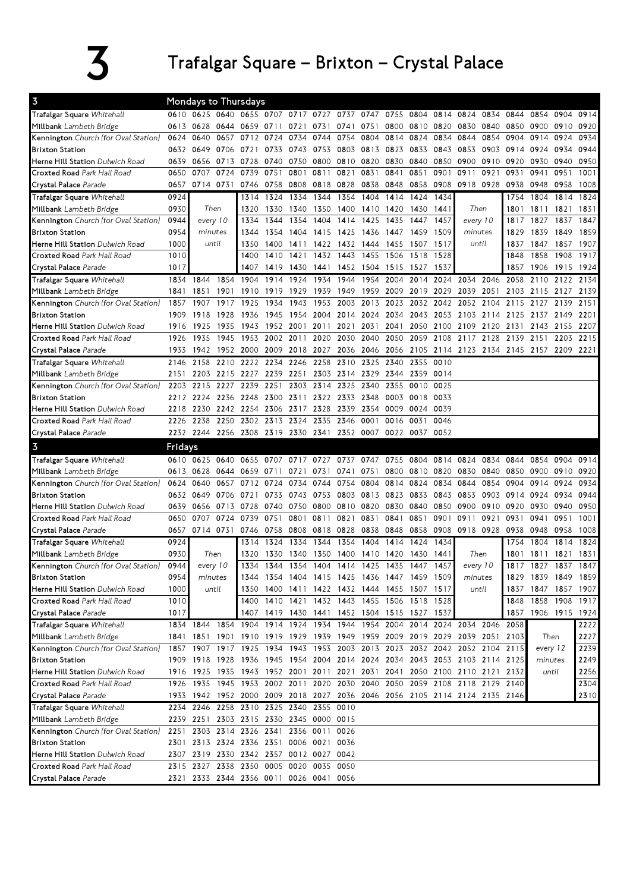## $\overline{3}$  Trafalgar Square – Brixton – Crystal Palace

| 0610 0625 0640 0655 0707 0717 0727 0737 0747 0755 0804 0814 0824 0834 0844<br>Trafalgar Square Whitehall<br>0800 0810 0820<br>0840<br>0850<br>Millbank Lambeth Bridge<br>0613<br>0628<br>0644<br>0731 0741 0751<br>0830<br>0900<br>0659 0711 0721<br>0657<br>0854<br>Kennington Church (for Oval Station)<br>0640<br>0712<br>0724<br>0734<br>0744<br>0754<br>0804<br>0814<br>0824<br>0834<br>0844<br>0904<br>0914<br>0624<br>0733<br>0743<br>0753<br>0803 0813<br>0823 0833<br>0843<br>0853<br>0903<br>0924<br><b>Brixton Station</b><br>0632 0649 0706<br>0721<br>0914<br>0810 0820<br>0830<br>0840<br>0850<br>0900<br>0910<br>0920<br>0930<br><b>Herne Hill Station</b> Dulwich Road<br>0639<br>0656<br>0713<br>0728<br>0740<br>0750<br>0800<br>0724<br>0707<br>0739<br>0751<br>0801<br>0811<br>0821<br>0831<br>0841<br>0851<br>0901<br>0911<br>0921<br>0931<br>0941<br>Croxted Road Park Hall Road<br>0650 | 0854 0904 0914 |      |
|---------------------------------------------------------------------------------------------------------------------------------------------------------------------------------------------------------------------------------------------------------------------------------------------------------------------------------------------------------------------------------------------------------------------------------------------------------------------------------------------------------------------------------------------------------------------------------------------------------------------------------------------------------------------------------------------------------------------------------------------------------------------------------------------------------------------------------------------------------------------------------------------------------------|----------------|------|
|                                                                                                                                                                                                                                                                                                                                                                                                                                                                                                                                                                                                                                                                                                                                                                                                                                                                                                               |                |      |
|                                                                                                                                                                                                                                                                                                                                                                                                                                                                                                                                                                                                                                                                                                                                                                                                                                                                                                               | 0910           | 0920 |
|                                                                                                                                                                                                                                                                                                                                                                                                                                                                                                                                                                                                                                                                                                                                                                                                                                                                                                               | 0924           | 0934 |
|                                                                                                                                                                                                                                                                                                                                                                                                                                                                                                                                                                                                                                                                                                                                                                                                                                                                                                               | 0934           | 0944 |
|                                                                                                                                                                                                                                                                                                                                                                                                                                                                                                                                                                                                                                                                                                                                                                                                                                                                                                               | 0940           | 0950 |
|                                                                                                                                                                                                                                                                                                                                                                                                                                                                                                                                                                                                                                                                                                                                                                                                                                                                                                               | 0951           | 1001 |
| 0714 0731<br>0746<br>0758<br>0808<br>0818 0828<br>0838<br>0848<br>0858 0908<br>0918 0928<br>0938<br>0948<br>Crystal Palace Parade<br>0657                                                                                                                                                                                                                                                                                                                                                                                                                                                                                                                                                                                                                                                                                                                                                                     | 0958           | 1008 |
| 1324<br>1334<br>1344<br>1354<br>1404<br>1414<br>1424<br>1434<br>Trafalgar Square Whitehall<br>0924<br>1314<br>1754<br>1804                                                                                                                                                                                                                                                                                                                                                                                                                                                                                                                                                                                                                                                                                                                                                                                    | 1814 1824      |      |
| 0930<br>Then<br>1330<br>1350<br>1400 1410<br>Then<br>Millbank Lambeth Bridge<br>1320<br>1340<br>1420<br>1430 1441<br>1801<br>1811                                                                                                                                                                                                                                                                                                                                                                                                                                                                                                                                                                                                                                                                                                                                                                             | 1821           | 1831 |
| 1425<br>1457<br>Kennington Church (for Oval Station)<br>0944<br>every 10<br>1344<br>1354<br>1404<br>1414<br>1435<br>1447<br>every 10<br>1817<br>1827<br>1334                                                                                                                                                                                                                                                                                                                                                                                                                                                                                                                                                                                                                                                                                                                                                  | 1837           | 1847 |
| 0954<br>1354<br>1415<br>1425 1436<br>1447<br>1459<br>1509<br>1839<br><b>Brixton Station</b><br>minutes<br>1344<br>1404<br>minutes<br>1829                                                                                                                                                                                                                                                                                                                                                                                                                                                                                                                                                                                                                                                                                                                                                                     | 1849           | 1859 |
| 1000<br>1411 1422<br>1432 1444<br>1517<br>Herne Hill Station Dulwich Road<br>until<br>1350<br>1400<br>1455<br>1507<br>until<br>1837<br>1847                                                                                                                                                                                                                                                                                                                                                                                                                                                                                                                                                                                                                                                                                                                                                                   | 1857           | 1907 |
| 1443<br>Croxted Road Park Hall Road<br>1010<br>1410<br>1432<br>1455<br>1506<br>1518<br>1528<br>1858<br>1400<br>1421<br>1848                                                                                                                                                                                                                                                                                                                                                                                                                                                                                                                                                                                                                                                                                                                                                                                   | 1908           | 1917 |
| 1419<br>1452 1504<br>1906<br>Crystal Palace Parade<br>1017<br>1407<br>1430<br>1441<br>1515 1527<br>1537<br>1857                                                                                                                                                                                                                                                                                                                                                                                                                                                                                                                                                                                                                                                                                                                                                                                               | 1915 1924      |      |
| 1914 1924<br>1934<br>1944<br>1954<br>2004 2014 2024 2034<br>2046<br>Trafalgar Square Whitehall<br>1834 1844<br>1854<br>1904<br>2058                                                                                                                                                                                                                                                                                                                                                                                                                                                                                                                                                                                                                                                                                                                                                                           | 2110 2122      | 2134 |
| 1901 1910<br>1939<br>1949 1959<br>2009 2019 2029<br>2039 2051<br>Millbank Lambeth Bridge<br>1851<br>1919 1929<br>2103<br>2115<br>1841                                                                                                                                                                                                                                                                                                                                                                                                                                                                                                                                                                                                                                                                                                                                                                         | 2127           | 2139 |
| 2003 2013<br>Kennington Church (for Oval Station)<br>1917<br>1925<br>1934<br>1943<br>1953<br>2023<br>2032<br>2042<br>2052<br>2104<br>2115<br>2127<br>1857<br>1907                                                                                                                                                                                                                                                                                                                                                                                                                                                                                                                                                                                                                                                                                                                                             | 2139           | 2151 |
| <b>Brixton Station</b><br>1918<br>1928<br>1936<br>1945<br>1954<br>2004 2014 2024<br>2034 2043 2053<br>2103<br>2114 2125<br>1909<br>2137                                                                                                                                                                                                                                                                                                                                                                                                                                                                                                                                                                                                                                                                                                                                                                       | 2149           | 2201 |
| 1952 2001<br>2021 2031<br>2041<br>2109<br>Herne Hill Station Dulwich Road<br>1925<br>1935<br>1943<br>2011<br>2050<br>2100<br>2120<br>2131<br>2143<br>1916                                                                                                                                                                                                                                                                                                                                                                                                                                                                                                                                                                                                                                                                                                                                                     | 2155           | 2207 |
| 2117<br>Croxted Road Park Hall Road<br>1935<br>1945<br>1953<br>2002<br>2011<br>2020<br>2030<br>2040<br>2050<br>2059<br>2108<br>2128<br>2139<br>2151<br>1926                                                                                                                                                                                                                                                                                                                                                                                                                                                                                                                                                                                                                                                                                                                                                   | 2203           | 2215 |
| 1942 1952 2000<br>2009 2018 2027<br>2036 2046<br>2056 2105 2114 2123 2134 2145 2157 2209 2221<br>Crystal Palace Parade<br>1933                                                                                                                                                                                                                                                                                                                                                                                                                                                                                                                                                                                                                                                                                                                                                                                |                |      |
| 2158<br>2210 2222 2234 2246<br>2258<br>2310 2325<br>2340<br>2355<br>Trafalgar Square Whitehall<br>2146<br>0010                                                                                                                                                                                                                                                                                                                                                                                                                                                                                                                                                                                                                                                                                                                                                                                                |                |      |
| 2203 2215 2227<br>2239 2251<br>2303 2314 2329<br>2344 2359 0014<br>Millbank Lambeth Bridge<br>2151                                                                                                                                                                                                                                                                                                                                                                                                                                                                                                                                                                                                                                                                                                                                                                                                            |                |      |
| 2215 2227 2239<br>2251<br>2303<br>2314<br>2325 2340<br>2355<br>Kennington Church (for Oval Station)<br>0010<br>0025<br>2203                                                                                                                                                                                                                                                                                                                                                                                                                                                                                                                                                                                                                                                                                                                                                                                   |                |      |
| 2212 2224 2236 2248<br>2300 2311<br>2322 2333 2348<br>0003<br><b>Brixton Station</b><br>0018 0033                                                                                                                                                                                                                                                                                                                                                                                                                                                                                                                                                                                                                                                                                                                                                                                                             |                |      |
| 2230<br>2242 2254<br>2306 2317<br>2328<br>2339<br>2354<br>0009<br>0039<br>Herne Hill Station Dulwich Road<br>2218<br>0024                                                                                                                                                                                                                                                                                                                                                                                                                                                                                                                                                                                                                                                                                                                                                                                     |                |      |
| Croxted Road Park Hall Road<br>2238<br>2250<br>2302<br>2313 2324<br>2335<br>2346<br>0001<br>0016<br>2226<br>0031<br>0046                                                                                                                                                                                                                                                                                                                                                                                                                                                                                                                                                                                                                                                                                                                                                                                      |                |      |
| Crystal Palace Parade<br>2232 2244 2256 2308 2319 2330 2341<br>2352 0007<br>0022 0037 0052                                                                                                                                                                                                                                                                                                                                                                                                                                                                                                                                                                                                                                                                                                                                                                                                                    |                |      |
| $\overline{3}$<br>Fridays                                                                                                                                                                                                                                                                                                                                                                                                                                                                                                                                                                                                                                                                                                                                                                                                                                                                                     |                |      |
|                                                                                                                                                                                                                                                                                                                                                                                                                                                                                                                                                                                                                                                                                                                                                                                                                                                                                                               |                |      |
| Trafalgar Square Whitehall<br>0625<br>0640<br>0655<br>0727<br>0737<br>0747<br>0755<br>0804<br>0814<br>0824<br>0834<br>0844<br>0854<br>0610<br>0707<br>0717                                                                                                                                                                                                                                                                                                                                                                                                                                                                                                                                                                                                                                                                                                                                                    | 0904           | 0914 |
| 0751<br>0800 0810 0820<br>0840<br>0850<br>0900<br>Millbank Lambeth Bridge<br>0613<br>0628<br>0644<br>0659 0711<br>0721<br>0731<br>0741<br>0830                                                                                                                                                                                                                                                                                                                                                                                                                                                                                                                                                                                                                                                                                                                                                                | 0910           | 0920 |
| Kennington Church (for Oval Station)<br>0640<br>0657<br>0712<br>0724<br>0734<br>0744<br>0754<br>0804<br>0814 0824<br>0834<br>0844<br>0854<br>0904<br>0914<br>0624                                                                                                                                                                                                                                                                                                                                                                                                                                                                                                                                                                                                                                                                                                                                             | 0924           | 0934 |
| 0733 0743<br>0753 0803 0813<br>0823 0833 0843<br>0853 0903 0914<br><b>Brixton Station</b><br>0632 0649 0706<br>0721<br>0924                                                                                                                                                                                                                                                                                                                                                                                                                                                                                                                                                                                                                                                                                                                                                                                   | 0934           | 0944 |
| 0656 0713<br>0728<br>0740 0750<br>0810 0820<br>0830<br>0840<br>0850<br>0900<br>0910<br>0930<br>Herne Hill Station Dulwich Road<br>0639<br>0800<br>0920                                                                                                                                                                                                                                                                                                                                                                                                                                                                                                                                                                                                                                                                                                                                                        | 0940           | 0950 |
| 0751<br>0851<br>Croxted Road Park Hall Road<br>0650<br>0707<br>0724<br>0739<br>0801<br>0811<br>0821 0831<br>0841<br>0901<br>0911<br>0921<br>0931<br>0941                                                                                                                                                                                                                                                                                                                                                                                                                                                                                                                                                                                                                                                                                                                                                      | 0951           | 1001 |
| 0714 0731<br>0758 0808<br>0818 0828 0838<br>0848<br>0858 0908<br>0918 0928<br>0938<br>0948<br>Crystal Palace Parade<br>0657<br>0746                                                                                                                                                                                                                                                                                                                                                                                                                                                                                                                                                                                                                                                                                                                                                                           | 0958           | 1008 |
| 0924<br>1314<br>1324<br>1334<br>1344<br>1354<br>1404<br>1414<br>1424<br>1434<br>1754<br>1804<br>Trafalgar Square Whitehall                                                                                                                                                                                                                                                                                                                                                                                                                                                                                                                                                                                                                                                                                                                                                                                    | 1814           | 1824 |
| 0930<br>1330 1340 1350 1400 1410<br>1430<br>1811<br>Then<br>1320<br>1420<br>1441<br>Then<br>1801<br>Millbank Lambeth Bridge                                                                                                                                                                                                                                                                                                                                                                                                                                                                                                                                                                                                                                                                                                                                                                                   | 1821           | 1831 |
| 0944<br>1334<br>1344 1354 1404 1414 1425 1435 1447 1457<br>Kennington Church (for Oval Station)<br>every 10<br>every 10<br>1817 1827                                                                                                                                                                                                                                                                                                                                                                                                                                                                                                                                                                                                                                                                                                                                                                          | 1837 1847      |      |
| 0954<br>1829 1839 1849 1859<br><b>Brixton Station</b><br>1344 1354 1404 1415 1425 1436 1447 1459 1509<br>minutes<br>minutes                                                                                                                                                                                                                                                                                                                                                                                                                                                                                                                                                                                                                                                                                                                                                                                   |                |      |
| until<br>1350 1400 1411 1422 1432 1444 1455 1507 1517<br>Herne Hill Station Dulwich Road<br>1000<br>until<br>1837 1847 1857 1907                                                                                                                                                                                                                                                                                                                                                                                                                                                                                                                                                                                                                                                                                                                                                                              |                |      |
| 1400 1410 1421 1432 1443 1455 1506 1518 1528<br>1858 1908 1917<br>1010<br>1848<br>Croxted Road Park Hall Road                                                                                                                                                                                                                                                                                                                                                                                                                                                                                                                                                                                                                                                                                                                                                                                                 |                |      |
| 1017<br>1407 1419 1430 1441 1452 1504 1515 1527 1537<br>1857 1906 1915 1924<br>Crystal Palace Parade                                                                                                                                                                                                                                                                                                                                                                                                                                                                                                                                                                                                                                                                                                                                                                                                          |                |      |
| 1834 1844 1854 1904 1914 1924 1934 1944 1954 2004 2014 2024 2034 2046<br>Trafalgar Square Whitehall<br>2058                                                                                                                                                                                                                                                                                                                                                                                                                                                                                                                                                                                                                                                                                                                                                                                                   |                | 2222 |
| 1901 1910 1919 1929 1939 1949 1959 2009 2019 2029 2039 2051 2103<br>Then<br>Millbank Lambeth Bridge<br>1841 1851                                                                                                                                                                                                                                                                                                                                                                                                                                                                                                                                                                                                                                                                                                                                                                                              |                | 2227 |
| Kennington Church (for Oval Station)<br>1857 1907 1917 1925 1934 1943 1953 2003 2013 2023 2032 2042 2052 2104 2115<br>every 12                                                                                                                                                                                                                                                                                                                                                                                                                                                                                                                                                                                                                                                                                                                                                                                |                | 2239 |
| 1909 1918 1928 1936 1945 1954 2004 2014 2024 2034 2043 2053 2103 2114 2125<br><b>Brixton Station</b><br>minutes                                                                                                                                                                                                                                                                                                                                                                                                                                                                                                                                                                                                                                                                                                                                                                                               |                | 2249 |
| 1916 1925 1935 1943 1952 2001 2011 2021 2031 2041 2050 2100 2110 2121 2132<br>Herne Hill Station Dulwich Road<br>until                                                                                                                                                                                                                                                                                                                                                                                                                                                                                                                                                                                                                                                                                                                                                                                        |                | 2256 |
| 1926 1935 1945 1953 2002 2011 2020 2030 2040 2050 2059 2108 2118 2129 2140<br>Croxted Road Park Hall Road                                                                                                                                                                                                                                                                                                                                                                                                                                                                                                                                                                                                                                                                                                                                                                                                     |                | 2304 |
| 1933 1942 1952 2000 2009 2018 2027 2036 2046 2056 2105 2114 2124 2135 2146<br>Crystal Palace Parade                                                                                                                                                                                                                                                                                                                                                                                                                                                                                                                                                                                                                                                                                                                                                                                                           |                | 2310 |
| Trafalgar Square Whitehall<br>2234 2246 2258 2310 2325 2340 2355 0010                                                                                                                                                                                                                                                                                                                                                                                                                                                                                                                                                                                                                                                                                                                                                                                                                                         |                |      |
| Millbank Lambeth Bridge<br>2239 2251 2303 2315 2330 2345 0000 0015                                                                                                                                                                                                                                                                                                                                                                                                                                                                                                                                                                                                                                                                                                                                                                                                                                            |                |      |
| Kennington Church (for Oval Station)<br>2251 2303 2314 2326 2341 2356 0011 0026                                                                                                                                                                                                                                                                                                                                                                                                                                                                                                                                                                                                                                                                                                                                                                                                                               |                |      |
| 2301 2313 2324 2336 2351 0006 0021 0036<br><b>Brixton Station</b>                                                                                                                                                                                                                                                                                                                                                                                                                                                                                                                                                                                                                                                                                                                                                                                                                                             |                |      |
| 2307 2319 2330 2342 2357 0012 0027 0042<br>Herne Hill Station Dulwich Road<br>2315 2327 2338 2350 0005 0020 0035 0050<br>Croxted Road Park Hall Road                                                                                                                                                                                                                                                                                                                                                                                                                                                                                                                                                                                                                                                                                                                                                          |                |      |